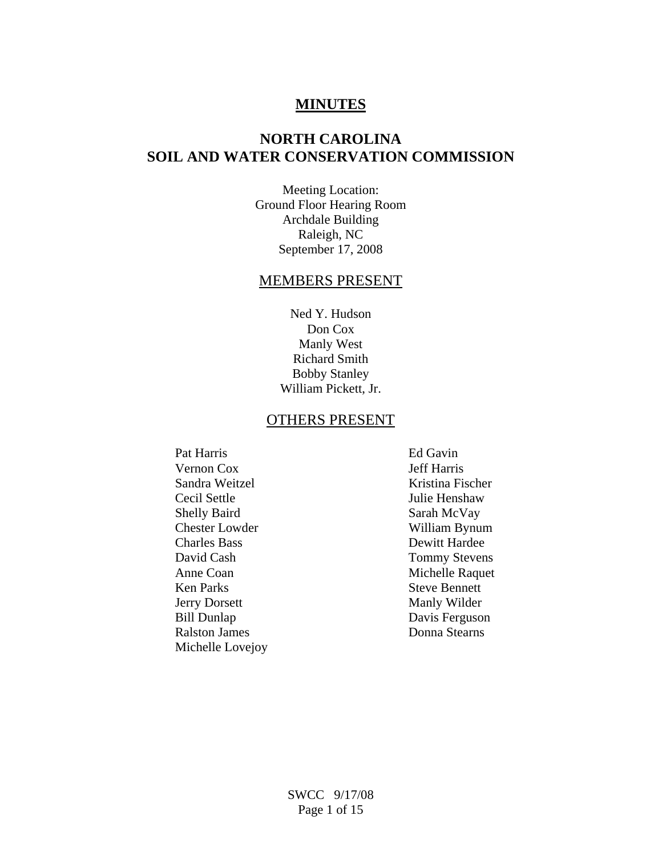## **MINUTES**

# **NORTH CAROLINA SOIL AND WATER CONSERVATION COMMISSION**

Meeting Location: Ground Floor Hearing Room Archdale Building Raleigh, NC September 17, 2008

### MEMBERS PRESENT

Ned Y. Hudson Don Cox Manly West Richard Smith Bobby Stanley William Pickett, Jr.

#### OTHERS PRESENT

Pat Harris Ed Gavin Vernon Cox Jeff Harris Sandra Weitzel Kristina Fischer Cecil Settle Julie Henshaw Shelly Baird Sarah McVay Chester Lowder William Bynum Charles Bass Dewitt Hardee David Cash Tommy Stevens Anne Coan Michelle Raquet Ken Parks Steve Bennett Jerry Dorsett Manly Wilder Bill Dunlap Davis Ferguson Ralston James Donna Stearns Michelle Lovejoy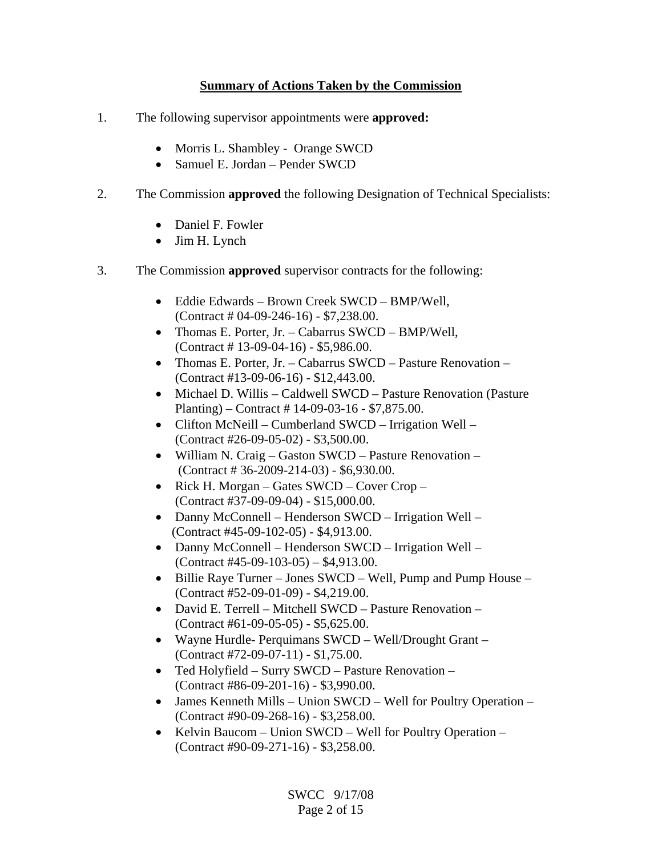## **Summary of Actions Taken by the Commission**

- 1. The following supervisor appointments were **approved:** 
	- Morris L. Shambley Orange SWCD
	- Samuel E. Jordan Pender SWCD
- 2. The Commission **approved** the following Designation of Technical Specialists:
	- Daniel F. Fowler
	- Jim H. Lynch
- 3. The Commission **approved** supervisor contracts for the following:
	- Eddie Edwards Brown Creek SWCD BMP/Well, (Contract # 04-09-246-16) - \$7,238.00.
	- Thomas E. Porter, Jr. Cabarrus SWCD BMP/Well, (Contract # 13-09-04-16) - \$5,986.00.
	- Thomas E. Porter, Jr. Cabarrus SWCD Pasture Renovation (Contract #13-09-06-16) - \$12,443.00.
	- Michael D. Willis Caldwell SWCD Pasture Renovation (Pasture Planting) – Contract # 14-09-03-16 - \$7,875.00.
	- Clifton McNeill Cumberland SWCD Irrigation Well (Contract #26-09-05-02) - \$3,500.00.
	- William N. Craig Gaston SWCD Pasture Renovation (Contract # 36-2009-214-03) - \$6,930.00.
	- Rick H. Morgan Gates SWCD Cover Crop (Contract #37-09-09-04) - \$15,000.00.
	- Danny McConnell Henderson SWCD Irrigation Well (Contract #45-09-102-05) - \$4,913.00.
	- Danny McConnell Henderson SWCD Irrigation Well (Contract #45-09-103-05) – \$4,913.00.
	- Billie Raye Turner Jones SWCD Well, Pump and Pump House (Contract #52-09-01-09) - \$4,219.00.
	- David E. Terrell Mitchell SWCD Pasture Renovation (Contract #61-09-05-05) - \$5,625.00.
	- Wayne Hurdle- Perquimans SWCD Well/Drought Grant (Contract #72-09-07-11) - \$1,75.00.
	- Ted Holyfield Surry SWCD Pasture Renovation (Contract #86-09-201-16) - \$3,990.00.
	- James Kenneth Mills Union SWCD Well for Poultry Operation (Contract #90-09-268-16) - \$3,258.00.
	- Kelvin Baucom Union SWCD Well for Poultry Operation (Contract #90-09-271-16) - \$3,258.00.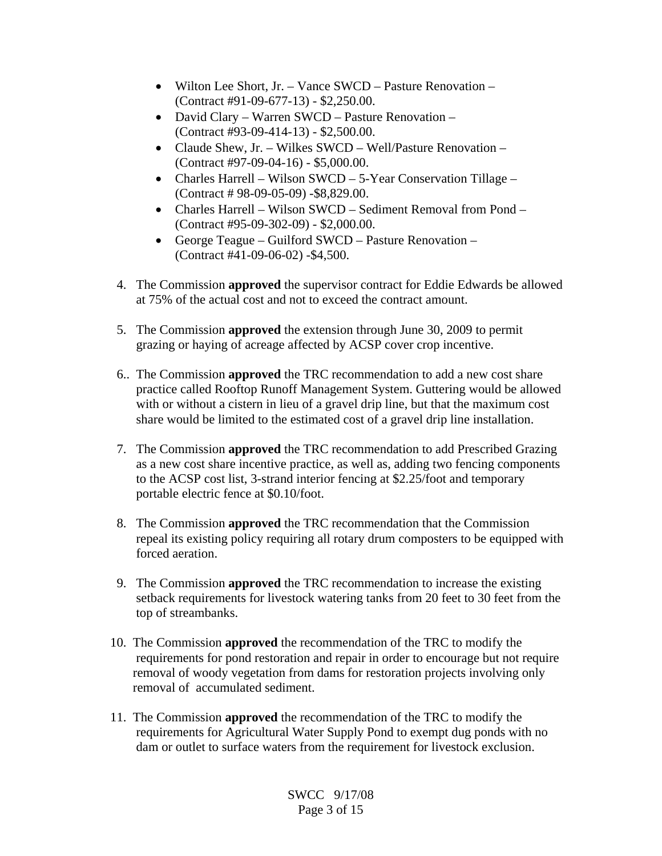- Wilton Lee Short, Jr. Vance SWCD Pasture Renovation (Contract #91-09-677-13) - \$2,250.00.
- David Clary Warren SWCD Pasture Renovation (Contract #93-09-414-13) - \$2,500.00.
- Claude Shew, Jr. Wilkes SWCD Well/Pasture Renovation (Contract #97-09-04-16) - \$5,000.00.
- Charles Harrell Wilson SWCD 5-Year Conservation Tillage (Contract # 98-09-05-09) -\$8,829.00.
- Charles Harrell Wilson SWCD Sediment Removal from Pond (Contract #95-09-302-09) - \$2,000.00.
- George Teague Guilford SWCD Pasture Renovation (Contract #41-09-06-02) -\$4,500.
- 4. The Commission **approved** the supervisor contract for Eddie Edwards be allowed at 75% of the actual cost and not to exceed the contract amount.
- 5. The Commission **approved** the extension through June 30, 2009 to permit grazing or haying of acreage affected by ACSP cover crop incentive.
- 6.. The Commission **approved** the TRC recommendation to add a new cost share practice called Rooftop Runoff Management System. Guttering would be allowed with or without a cistern in lieu of a gravel drip line, but that the maximum cost share would be limited to the estimated cost of a gravel drip line installation.
- 7. The Commission **approved** the TRC recommendation to add Prescribed Grazing as a new cost share incentive practice, as well as, adding two fencing components to the ACSP cost list, 3-strand interior fencing at \$2.25/foot and temporary portable electric fence at \$0.10/foot.
- 8. The Commission **approved** the TRC recommendation that the Commission repeal its existing policy requiring all rotary drum composters to be equipped with forced aeration.
- 9. The Commission **approved** the TRC recommendation to increase the existing setback requirements for livestock watering tanks from 20 feet to 30 feet from the top of streambanks.
- 10. The Commission **approved** the recommendation of the TRC to modify the requirements for pond restoration and repair in order to encourage but not require removal of woody vegetation from dams for restoration projects involving only removal of accumulated sediment.
- 11. The Commission **approved** the recommendation of the TRC to modify the requirements for Agricultural Water Supply Pond to exempt dug ponds with no dam or outlet to surface waters from the requirement for livestock exclusion.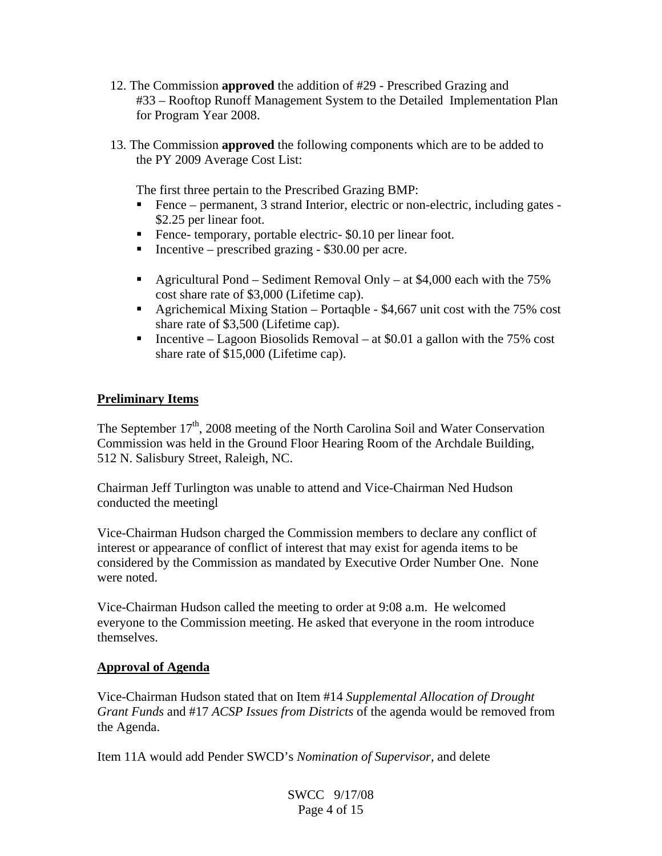- 12. The Commission **approved** the addition of #29 Prescribed Grazing and #33 – Rooftop Runoff Management System to the Detailed Implementation Plan for Program Year 2008.
- 13. The Commission **approved** the following components which are to be added to the PY 2009 Average Cost List:

The first three pertain to the Prescribed Grazing BMP:

- Fence permanent, 3 strand Interior, electric or non-electric, including gates \$2.25 per linear foot.
- Fence- temporary, portable electric- \$0.10 per linear foot.
- Incentive prescribed grazing  $$30.00$  per acre.
- Agricultural Pond Sediment Removal Only at  $$4,000$  each with the 75% cost share rate of \$3,000 (Lifetime cap).
- Agrichemical Mixing Station Portaqble \$4,667 unit cost with the 75% cost share rate of \$3,500 (Lifetime cap).
- **Incentive Lagoon Biosolids Removal at \$0.01 a gallon with the 75% cost** share rate of \$15,000 (Lifetime cap).

### **Preliminary Items**

The September  $17<sup>th</sup>$ , 2008 meeting of the North Carolina Soil and Water Conservation Commission was held in the Ground Floor Hearing Room of the Archdale Building, 512 N. Salisbury Street, Raleigh, NC.

Chairman Jeff Turlington was unable to attend and Vice-Chairman Ned Hudson conducted the meetingl

Vice-Chairman Hudson charged the Commission members to declare any conflict of interest or appearance of conflict of interest that may exist for agenda items to be considered by the Commission as mandated by Executive Order Number One. None were noted.

Vice-Chairman Hudson called the meeting to order at 9:08 a.m. He welcomed everyone to the Commission meeting. He asked that everyone in the room introduce themselves.

#### **Approval of Agenda**

Vice-Chairman Hudson stated that on Item #14 *Supplemental Allocation of Drought Grant Funds* and #17 *ACSP Issues from Districts* of the agenda would be removed from the Agenda.

Item 11A would add Pender SWCD's *Nomination of Supervisor,* and delete

SWCC 9/17/08 Page 4 of 15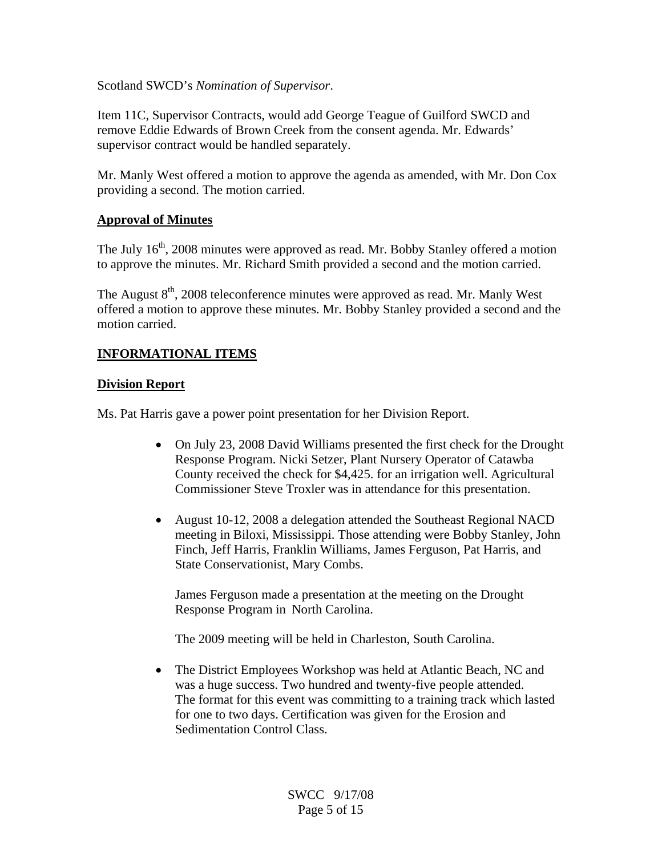### Scotland SWCD's *Nomination of Supervisor*.

Item 11C, Supervisor Contracts, would add George Teague of Guilford SWCD and remove Eddie Edwards of Brown Creek from the consent agenda. Mr. Edwards' supervisor contract would be handled separately.

Mr. Manly West offered a motion to approve the agenda as amended, with Mr. Don Cox providing a second. The motion carried.

## **Approval of Minutes**

The July  $16<sup>th</sup>$ , 2008 minutes were approved as read. Mr. Bobby Stanley offered a motion to approve the minutes. Mr. Richard Smith provided a second and the motion carried.

The August  $8<sup>th</sup>$ , 2008 teleconference minutes were approved as read. Mr. Manly West offered a motion to approve these minutes. Mr. Bobby Stanley provided a second and the motion carried.

## **INFORMATIONAL ITEMS**

### **Division Report**

Ms. Pat Harris gave a power point presentation for her Division Report.

- On July 23, 2008 David Williams presented the first check for the Drought Response Program. Nicki Setzer, Plant Nursery Operator of Catawba County received the check for \$4,425. for an irrigation well. Agricultural Commissioner Steve Troxler was in attendance for this presentation.
- August 10-12, 2008 a delegation attended the Southeast Regional NACD meeting in Biloxi, Mississippi. Those attending were Bobby Stanley, John Finch, Jeff Harris, Franklin Williams, James Ferguson, Pat Harris, and State Conservationist, Mary Combs.

James Ferguson made a presentation at the meeting on the Drought Response Program in North Carolina.

The 2009 meeting will be held in Charleston, South Carolina.

• The District Employees Workshop was held at Atlantic Beach, NC and was a huge success. Two hundred and twenty-five people attended. The format for this event was committing to a training track which lasted for one to two days. Certification was given for the Erosion and Sedimentation Control Class.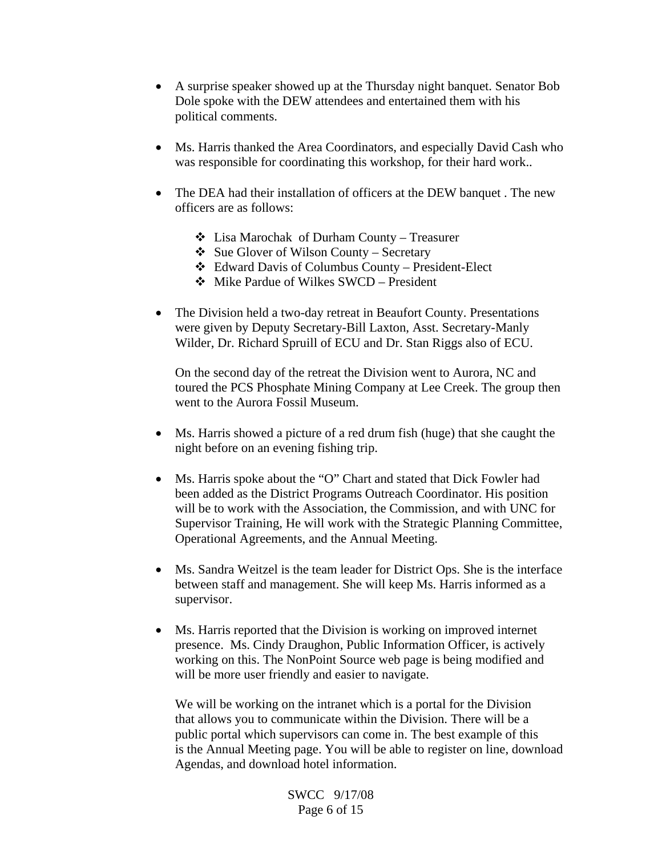- A surprise speaker showed up at the Thursday night banquet. Senator Bob Dole spoke with the DEW attendees and entertained them with his political comments.
- Ms. Harris thanked the Area Coordinators, and especially David Cash who was responsible for coordinating this workshop, for their hard work..
- The DEA had their installation of officers at the DEW banquet. The new officers are as follows:
	- $\triangleleft$  Lisa Marochak of Durham County Treasurer
	- $\triangle$  Sue Glover of Wilson County Secretary
	- Edward Davis of Columbus County President-Elect
	- Mike Pardue of Wilkes SWCD President
- The Division held a two-day retreat in Beaufort County. Presentations were given by Deputy Secretary-Bill Laxton, Asst. Secretary-Manly Wilder, Dr. Richard Spruill of ECU and Dr. Stan Riggs also of ECU.

 On the second day of the retreat the Division went to Aurora, NC and toured the PCS Phosphate Mining Company at Lee Creek. The group then went to the Aurora Fossil Museum.

- Ms. Harris showed a picture of a red drum fish (huge) that she caught the night before on an evening fishing trip.
- Ms. Harris spoke about the "O" Chart and stated that Dick Fowler had been added as the District Programs Outreach Coordinator. His position will be to work with the Association, the Commission, and with UNC for Supervisor Training, He will work with the Strategic Planning Committee, Operational Agreements, and the Annual Meeting.
- Ms. Sandra Weitzel is the team leader for District Ops. She is the interface between staff and management. She will keep Ms. Harris informed as a supervisor.
- Ms. Harris reported that the Division is working on improved internet presence. Ms. Cindy Draughon, Public Information Officer, is actively working on this. The NonPoint Source web page is being modified and will be more user friendly and easier to navigate.

 We will be working on the intranet which is a portal for the Division that allows you to communicate within the Division. There will be a public portal which supervisors can come in. The best example of this is the Annual Meeting page. You will be able to register on line, download Agendas, and download hotel information.

> SWCC 9/17/08 Page 6 of 15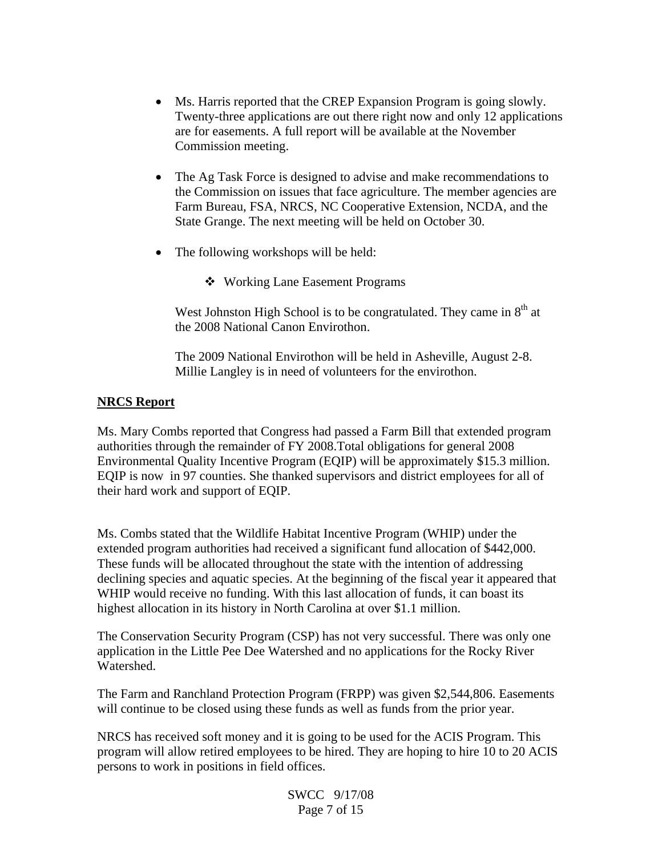- Ms. Harris reported that the CREP Expansion Program is going slowly. Twenty-three applications are out there right now and only 12 applications are for easements. A full report will be available at the November Commission meeting.
- The Ag Task Force is designed to advise and make recommendations to the Commission on issues that face agriculture. The member agencies are Farm Bureau, FSA, NRCS, NC Cooperative Extension, NCDA, and the State Grange. The next meeting will be held on October 30.
- The following workshops will be held:
	- Working Lane Easement Programs

West Johnston High School is to be congratulated. They came in  $8<sup>th</sup>$  at the 2008 National Canon Envirothon.

 The 2009 National Envirothon will be held in Asheville, August 2-8. Millie Langley is in need of volunteers for the envirothon.

## **NRCS Report**

Ms. Mary Combs reported that Congress had passed a Farm Bill that extended program authorities through the remainder of FY 2008.Total obligations for general 2008 Environmental Quality Incentive Program (EQIP) will be approximately \$15.3 million. EQIP is now in 97 counties. She thanked supervisors and district employees for all of their hard work and support of EQIP.

Ms. Combs stated that the Wildlife Habitat Incentive Program (WHIP) under the extended program authorities had received a significant fund allocation of \$442,000. These funds will be allocated throughout the state with the intention of addressing declining species and aquatic species. At the beginning of the fiscal year it appeared that WHIP would receive no funding. With this last allocation of funds, it can boast its highest allocation in its history in North Carolina at over \$1.1 million.

The Conservation Security Program (CSP) has not very successful. There was only one application in the Little Pee Dee Watershed and no applications for the Rocky River Watershed.

The Farm and Ranchland Protection Program (FRPP) was given \$2,544,806. Easements will continue to be closed using these funds as well as funds from the prior year.

NRCS has received soft money and it is going to be used for the ACIS Program. This program will allow retired employees to be hired. They are hoping to hire 10 to 20 ACIS persons to work in positions in field offices.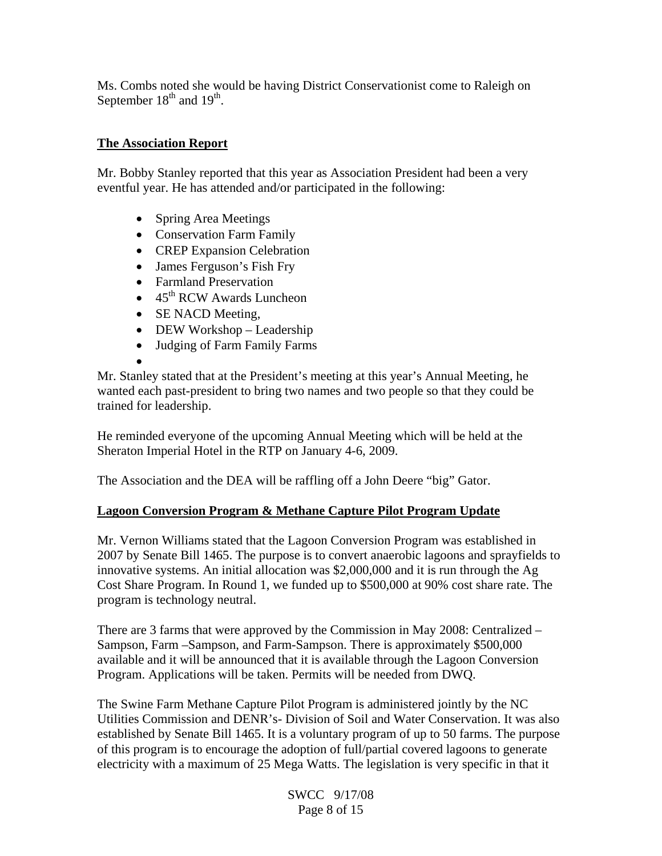Ms. Combs noted she would be having District Conservationist come to Raleigh on September 18<sup>th</sup> and 19<sup>th</sup>.

## **The Association Report**

Mr. Bobby Stanley reported that this year as Association President had been a very eventful year. He has attended and/or participated in the following:

- Spring Area Meetings
- Conservation Farm Family
- CREP Expansion Celebration
- James Ferguson's Fish Fry
- Farmland Preservation
- $\bullet$  45<sup>th</sup> RCW Awards Luncheon
- SE NACD Meeting,
- DEW Workshop Leadership
- Judging of Farm Family Farms
- •

Mr. Stanley stated that at the President's meeting at this year's Annual Meeting, he wanted each past-president to bring two names and two people so that they could be trained for leadership.

He reminded everyone of the upcoming Annual Meeting which will be held at the Sheraton Imperial Hotel in the RTP on January 4-6, 2009.

The Association and the DEA will be raffling off a John Deere "big" Gator.

## **Lagoon Conversion Program & Methane Capture Pilot Program Update**

Mr. Vernon Williams stated that the Lagoon Conversion Program was established in 2007 by Senate Bill 1465. The purpose is to convert anaerobic lagoons and sprayfields to innovative systems. An initial allocation was \$2,000,000 and it is run through the Ag Cost Share Program. In Round 1, we funded up to \$500,000 at 90% cost share rate. The program is technology neutral.

There are 3 farms that were approved by the Commission in May 2008: Centralized – Sampson, Farm –Sampson, and Farm-Sampson. There is approximately \$500,000 available and it will be announced that it is available through the Lagoon Conversion Program. Applications will be taken. Permits will be needed from DWQ.

The Swine Farm Methane Capture Pilot Program is administered jointly by the NC Utilities Commission and DENR's- Division of Soil and Water Conservation. It was also established by Senate Bill 1465. It is a voluntary program of up to 50 farms. The purpose of this program is to encourage the adoption of full/partial covered lagoons to generate electricity with a maximum of 25 Mega Watts. The legislation is very specific in that it

> SWCC 9/17/08 Page 8 of 15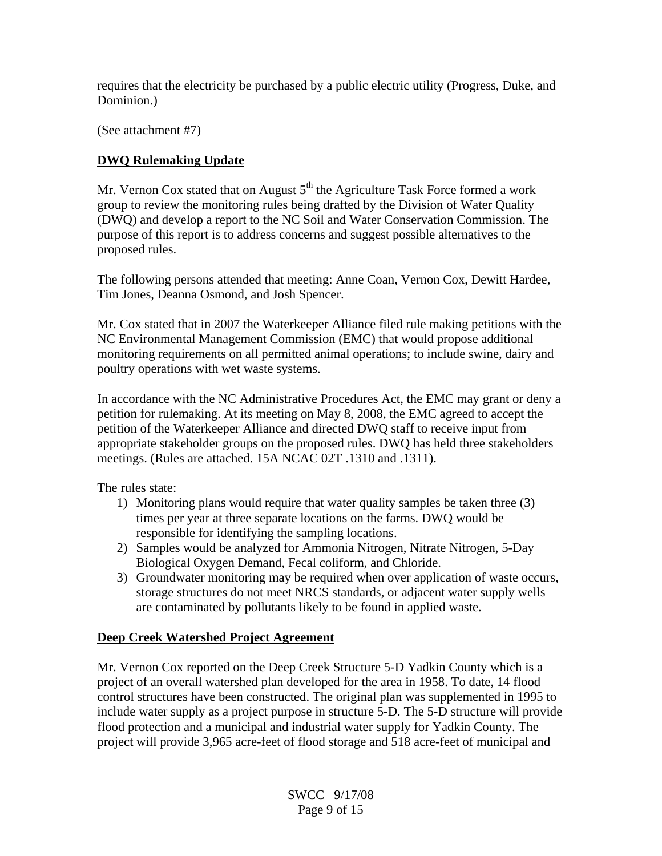requires that the electricity be purchased by a public electric utility (Progress, Duke, and Dominion.)

(See attachment #7)

## **DWQ Rulemaking Update**

Mr. Vernon Cox stated that on August  $5<sup>th</sup>$  the Agriculture Task Force formed a work group to review the monitoring rules being drafted by the Division of Water Quality (DWQ) and develop a report to the NC Soil and Water Conservation Commission. The purpose of this report is to address concerns and suggest possible alternatives to the proposed rules.

The following persons attended that meeting: Anne Coan, Vernon Cox, Dewitt Hardee, Tim Jones, Deanna Osmond, and Josh Spencer.

Mr. Cox stated that in 2007 the Waterkeeper Alliance filed rule making petitions with the NC Environmental Management Commission (EMC) that would propose additional monitoring requirements on all permitted animal operations; to include swine, dairy and poultry operations with wet waste systems.

In accordance with the NC Administrative Procedures Act, the EMC may grant or deny a petition for rulemaking. At its meeting on May 8, 2008, the EMC agreed to accept the petition of the Waterkeeper Alliance and directed DWQ staff to receive input from appropriate stakeholder groups on the proposed rules. DWQ has held three stakeholders meetings. (Rules are attached. 15A NCAC 02T .1310 and .1311).

The rules state:

- 1) Monitoring plans would require that water quality samples be taken three (3) times per year at three separate locations on the farms. DWQ would be responsible for identifying the sampling locations.
- 2) Samples would be analyzed for Ammonia Nitrogen, Nitrate Nitrogen, 5-Day Biological Oxygen Demand, Fecal coliform, and Chloride.
- 3) Groundwater monitoring may be required when over application of waste occurs, storage structures do not meet NRCS standards, or adjacent water supply wells are contaminated by pollutants likely to be found in applied waste.

## **Deep Creek Watershed Project Agreement**

Mr. Vernon Cox reported on the Deep Creek Structure 5-D Yadkin County which is a project of an overall watershed plan developed for the area in 1958. To date, 14 flood control structures have been constructed. The original plan was supplemented in 1995 to include water supply as a project purpose in structure 5-D. The 5-D structure will provide flood protection and a municipal and industrial water supply for Yadkin County. The project will provide 3,965 acre-feet of flood storage and 518 acre-feet of municipal and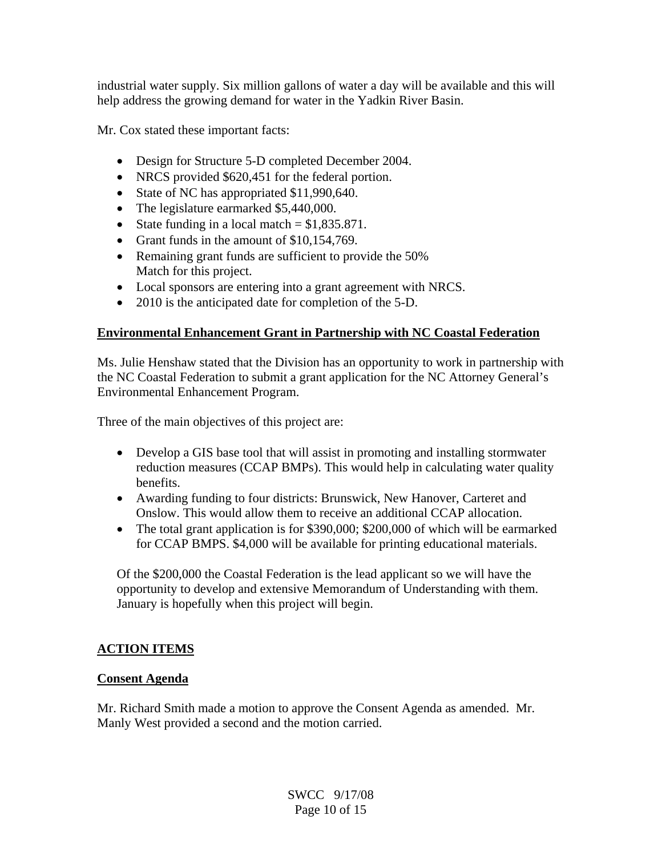industrial water supply. Six million gallons of water a day will be available and this will help address the growing demand for water in the Yadkin River Basin.

Mr. Cox stated these important facts:

- Design for Structure 5-D completed December 2004.
- NRCS provided \$620,451 for the federal portion.
- State of NC has appropriated \$11,990,640.
- The legislature earmarked \$5,440,000.
- State funding in a local match  $= $1,835.871$ .
- Grant funds in the amount of \$10,154,769.
- Remaining grant funds are sufficient to provide the 50% Match for this project.
- Local sponsors are entering into a grant agreement with NRCS.
- 2010 is the anticipated date for completion of the 5-D.

## **Environmental Enhancement Grant in Partnership with NC Coastal Federation**

Ms. Julie Henshaw stated that the Division has an opportunity to work in partnership with the NC Coastal Federation to submit a grant application for the NC Attorney General's Environmental Enhancement Program.

Three of the main objectives of this project are:

- Develop a GIS base tool that will assist in promoting and installing stormwater reduction measures (CCAP BMPs). This would help in calculating water quality benefits.
- Awarding funding to four districts: Brunswick, New Hanover, Carteret and Onslow. This would allow them to receive an additional CCAP allocation.
- The total grant application is for \$390,000; \$200,000 of which will be earmarked for CCAP BMPS. \$4,000 will be available for printing educational materials.

Of the \$200,000 the Coastal Federation is the lead applicant so we will have the opportunity to develop and extensive Memorandum of Understanding with them. January is hopefully when this project will begin.

# **ACTION ITEMS**

## **Consent Agenda**

Mr. Richard Smith made a motion to approve the Consent Agenda as amended. Mr. Manly West provided a second and the motion carried.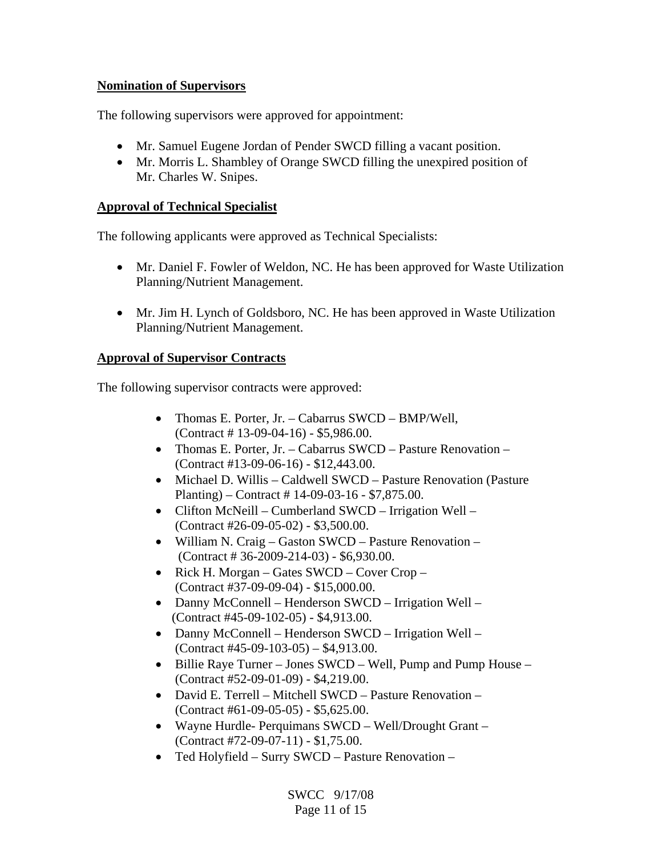## **Nomination of Supervisors**

The following supervisors were approved for appointment:

- Mr. Samuel Eugene Jordan of Pender SWCD filling a vacant position.
- Mr. Morris L. Shambley of Orange SWCD filling the unexpired position of Mr. Charles W. Snipes.

## **Approval of Technical Specialist**

The following applicants were approved as Technical Specialists:

- Mr. Daniel F. Fowler of Weldon, NC. He has been approved for Waste Utilization Planning/Nutrient Management.
- Mr. Jim H. Lynch of Goldsboro, NC. He has been approved in Waste Utilization Planning/Nutrient Management.

## **Approval of Supervisor Contracts**

The following supervisor contracts were approved:

- Thomas E. Porter, Jr. Cabarrus SWCD BMP/Well, (Contract # 13-09-04-16) - \$5,986.00.
- Thomas E. Porter, Jr. Cabarrus SWCD Pasture Renovation (Contract #13-09-06-16) - \$12,443.00.
- Michael D. Willis Caldwell SWCD Pasture Renovation (Pasture Planting) – Contract # 14-09-03-16 - \$7,875.00.
- Clifton McNeill Cumberland SWCD Irrigation Well (Contract #26-09-05-02) - \$3,500.00.
- William N. Craig Gaston SWCD Pasture Renovation (Contract # 36-2009-214-03) - \$6,930.00.
- Rick H. Morgan Gates SWCD Cover Crop (Contract #37-09-09-04) - \$15,000.00.
- Danny McConnell Henderson SWCD Irrigation Well (Contract #45-09-102-05) - \$4,913.00.
- Danny McConnell Henderson SWCD Irrigation Well (Contract #45-09-103-05) – \$4,913.00.
- Billie Raye Turner Jones SWCD Well, Pump and Pump House (Contract #52-09-01-09) - \$4,219.00.
- David E. Terrell Mitchell SWCD Pasture Renovation (Contract #61-09-05-05) - \$5,625.00.
- Wayne Hurdle- Perquimans SWCD Well/Drought Grant (Contract #72-09-07-11) - \$1,75.00.
- Ted Holyfield Surry SWCD Pasture Renovation –

SWCC 9/17/08 Page 11 of 15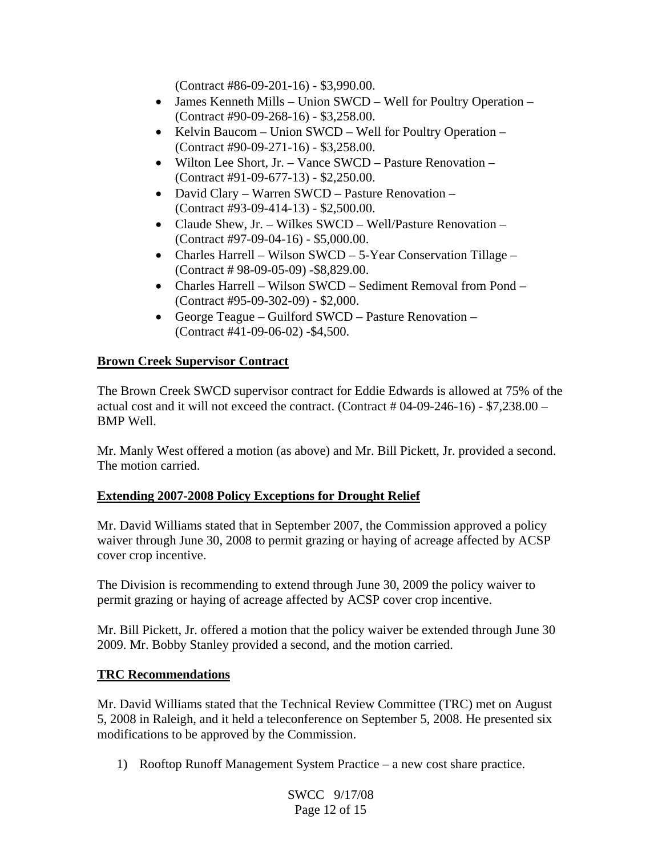(Contract #86-09-201-16) - \$3,990.00.

- James Kenneth Mills Union SWCD Well for Poultry Operation (Contract #90-09-268-16) - \$3,258.00.
- Kelvin Baucom Union SWCD Well for Poultry Operation (Contract #90-09-271-16) - \$3,258.00.
- Wilton Lee Short, Jr. Vance SWCD Pasture Renovation (Contract #91-09-677-13) - \$2,250.00.
- David Clary Warren SWCD Pasture Renovation (Contract #93-09-414-13) - \$2,500.00.
- Claude Shew, Jr. Wilkes SWCD Well/Pasture Renovation (Contract #97-09-04-16) - \$5,000.00.
- Charles Harrell Wilson SWCD 5-Year Conservation Tillage (Contract # 98-09-05-09) -\$8,829.00.
- Charles Harrell Wilson SWCD Sediment Removal from Pond (Contract #95-09-302-09) - \$2,000.
- George Teague Guilford SWCD Pasture Renovation (Contract #41-09-06-02) -\$4,500.

## **Brown Creek Supervisor Contract**

The Brown Creek SWCD supervisor contract for Eddie Edwards is allowed at 75% of the actual cost and it will not exceed the contract. (Contract  $\#04-09-246-16$ ) - \$7,238.00 – BMP Well.

Mr. Manly West offered a motion (as above) and Mr. Bill Pickett, Jr. provided a second. The motion carried.

## **Extending 2007-2008 Policy Exceptions for Drought Relief**

Mr. David Williams stated that in September 2007, the Commission approved a policy waiver through June 30, 2008 to permit grazing or haying of acreage affected by ACSP cover crop incentive.

The Division is recommending to extend through June 30, 2009 the policy waiver to permit grazing or haying of acreage affected by ACSP cover crop incentive.

Mr. Bill Pickett, Jr. offered a motion that the policy waiver be extended through June 30 2009. Mr. Bobby Stanley provided a second, and the motion carried.

## **TRC Recommendations**

Mr. David Williams stated that the Technical Review Committee (TRC) met on August 5, 2008 in Raleigh, and it held a teleconference on September 5, 2008. He presented six modifications to be approved by the Commission.

1) Rooftop Runoff Management System Practice – a new cost share practice.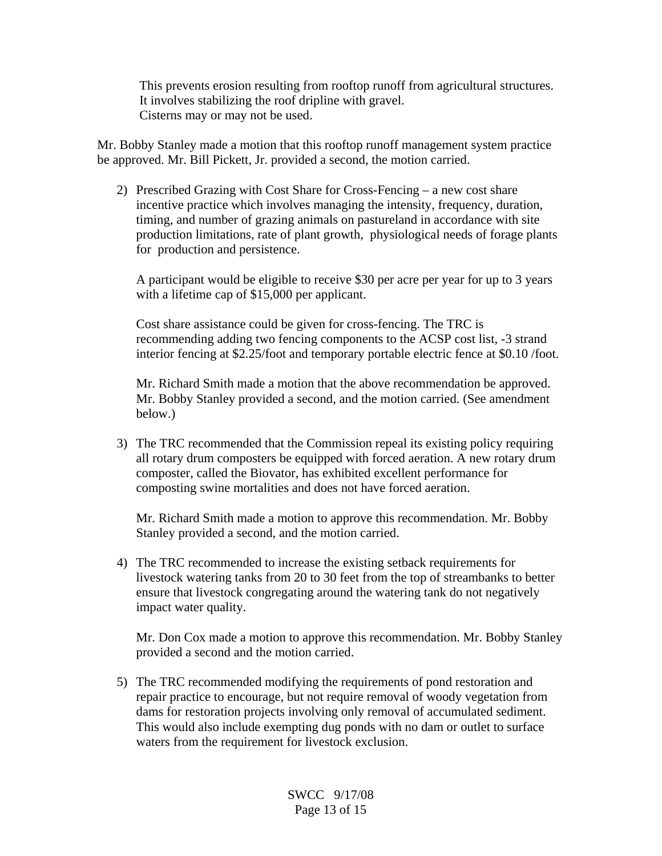This prevents erosion resulting from rooftop runoff from agricultural structures. It involves stabilizing the roof dripline with gravel. Cisterns may or may not be used.

Mr. Bobby Stanley made a motion that this rooftop runoff management system practice be approved. Mr. Bill Pickett, Jr. provided a second, the motion carried.

2) Prescribed Grazing with Cost Share for Cross-Fencing – a new cost share incentive practice which involves managing the intensity, frequency, duration, timing, and number of grazing animals on pastureland in accordance with site production limitations, rate of plant growth, physiological needs of forage plants for production and persistence.

 A participant would be eligible to receive \$30 per acre per year for up to 3 years with a lifetime cap of \$15,000 per applicant.

 Cost share assistance could be given for cross-fencing. The TRC is recommending adding two fencing components to the ACSP cost list, -3 strand interior fencing at \$2.25/foot and temporary portable electric fence at \$0.10 /foot.

 Mr. Richard Smith made a motion that the above recommendation be approved. Mr. Bobby Stanley provided a second, and the motion carried. (See amendment below.)

3) The TRC recommended that the Commission repeal its existing policy requiring all rotary drum composters be equipped with forced aeration. A new rotary drum composter, called the Biovator, has exhibited excellent performance for composting swine mortalities and does not have forced aeration.

 Mr. Richard Smith made a motion to approve this recommendation. Mr. Bobby Stanley provided a second, and the motion carried.

4) The TRC recommended to increase the existing setback requirements for livestock watering tanks from 20 to 30 feet from the top of streambanks to better ensure that livestock congregating around the watering tank do not negatively impact water quality.

 Mr. Don Cox made a motion to approve this recommendation. Mr. Bobby Stanley provided a second and the motion carried.

5) The TRC recommended modifying the requirements of pond restoration and repair practice to encourage, but not require removal of woody vegetation from dams for restoration projects involving only removal of accumulated sediment. This would also include exempting dug ponds with no dam or outlet to surface waters from the requirement for livestock exclusion.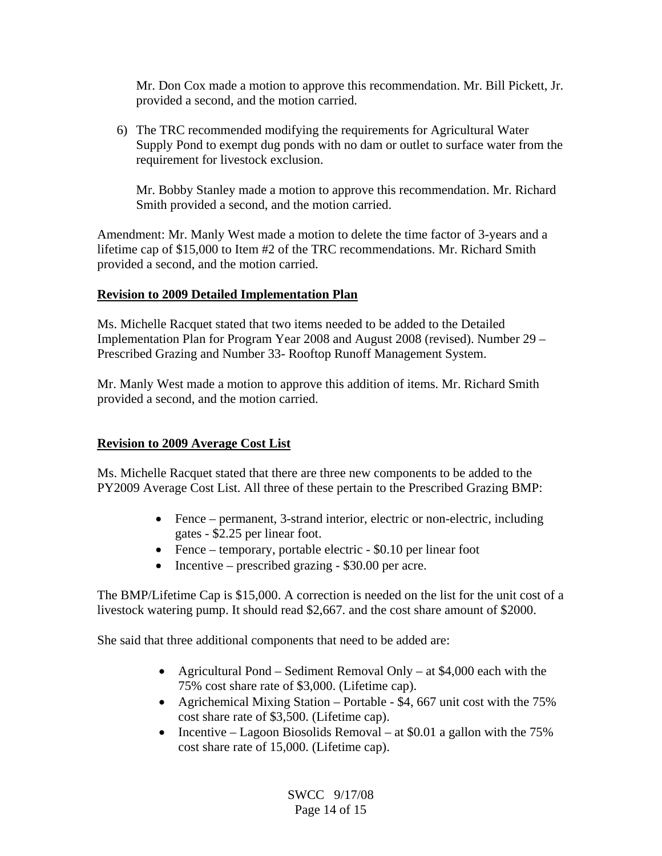Mr. Don Cox made a motion to approve this recommendation. Mr. Bill Pickett, Jr. provided a second, and the motion carried.

6) The TRC recommended modifying the requirements for Agricultural Water Supply Pond to exempt dug ponds with no dam or outlet to surface water from the requirement for livestock exclusion.

 Mr. Bobby Stanley made a motion to approve this recommendation. Mr. Richard Smith provided a second, and the motion carried.

Amendment: Mr. Manly West made a motion to delete the time factor of 3-years and a lifetime cap of \$15,000 to Item #2 of the TRC recommendations. Mr. Richard Smith provided a second, and the motion carried.

### **Revision to 2009 Detailed Implementation Plan**

Ms. Michelle Racquet stated that two items needed to be added to the Detailed Implementation Plan for Program Year 2008 and August 2008 (revised). Number 29 – Prescribed Grazing and Number 33- Rooftop Runoff Management System.

Mr. Manly West made a motion to approve this addition of items. Mr. Richard Smith provided a second, and the motion carried.

## **Revision to 2009 Average Cost List**

Ms. Michelle Racquet stated that there are three new components to be added to the PY2009 Average Cost List. All three of these pertain to the Prescribed Grazing BMP:

- Fence permanent, 3-strand interior, electric or non-electric, including gates - \$2.25 per linear foot.
- Fence temporary, portable electric \$0.10 per linear foot
- Incentive prescribed grazing \$30.00 per acre.

The BMP/Lifetime Cap is \$15,000. A correction is needed on the list for the unit cost of a livestock watering pump. It should read \$2,667. and the cost share amount of \$2000.

She said that three additional components that need to be added are:

- Agricultural Pond Sediment Removal Only at \$4,000 each with the 75% cost share rate of \$3,000. (Lifetime cap).
- Agrichemical Mixing Station Portable \$4, 667 unit cost with the 75% cost share rate of \$3,500. (Lifetime cap).
- Incentive Lagoon Biosolids Removal at \$0.01 a gallon with the  $75\%$ cost share rate of 15,000. (Lifetime cap).

SWCC 9/17/08 Page 14 of 15